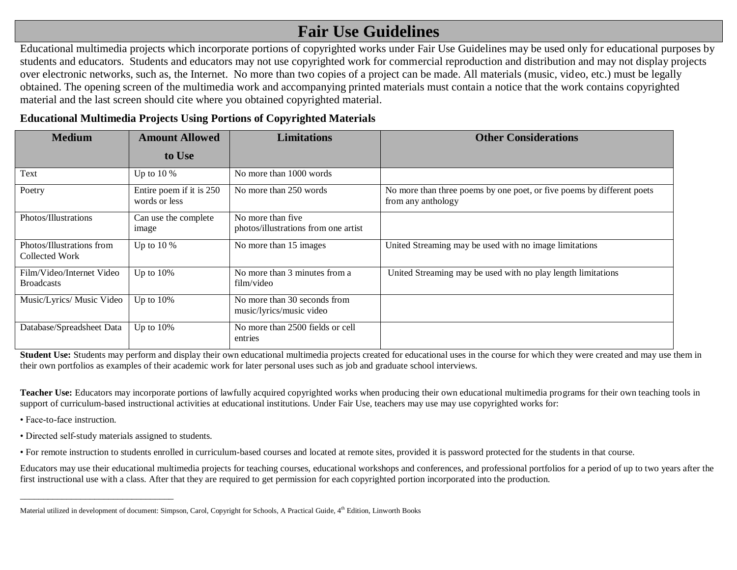## **Fair Use Guidelines**

Educational multimedia projects which incorporate portions of copyrighted works under Fair Use Guidelines may be used only for educational purposes by students and educators. Students and educators may not use copyrighted work for commercial reproduction and distribution and may not display projects over electronic networks, such as, the Internet. No more than two copies of a project can be made. All materials (music, video, etc.) must be legally obtained. The opening screen of the multimedia work and accompanying printed materials must contain a notice that the work contains copyrighted material and the last screen should cite where you obtained copyrighted material.

## **Educational Multimedia Projects Using Portions of Copyrighted Materials**

| <b>Medium</b>                                  | <b>Amount Allowed</b>                     | <b>Limitations</b>                                         | <b>Other Considerations</b>                                                                  |  |
|------------------------------------------------|-------------------------------------------|------------------------------------------------------------|----------------------------------------------------------------------------------------------|--|
|                                                | to Use                                    |                                                            |                                                                                              |  |
| Text                                           | Up to $10\%$                              | No more than 1000 words                                    |                                                                                              |  |
| Poetry                                         | Entire poem if it is 250<br>words or less | No more than 250 words                                     | No more than three poems by one poet, or five poems by different poets<br>from any anthology |  |
| Photos/Illustrations                           | Can use the complete<br>image             | No more than five.<br>photos/illustrations from one artist |                                                                                              |  |
| Photos/Illustrations from<br>Collected Work    | Up to $10\%$                              | No more than 15 images                                     | United Streaming may be used with no image limitations                                       |  |
| Film/Video/Internet Video<br><b>Broadcasts</b> | Up to $10\%$                              | No more than 3 minutes from a<br>film/video                | United Streaming may be used with no play length limitations                                 |  |
| Music/Lyrics/ Music Video                      | Up to $10\%$                              | No more than 30 seconds from<br>music/lyrics/music video   |                                                                                              |  |
| Database/Spreadsheet Data                      | Up to $10\%$                              | No more than 2500 fields or cell<br>entries                |                                                                                              |  |

**Student Use:** Students may perform and display their own educational multimedia projects created for educational uses in the course for which they were created and may use them in their own portfolios as examples of their academic work for later personal uses such as job and graduate school interviews.

**Teacher Use:** Educators may incorporate portions of lawfully acquired copyrighted works when producing their own educational multimedia programs for their own teaching tools in support of curriculum-based instructional activities at educational institutions. Under Fair Use, teachers may use may use copyrighted works for:

• Face-to-face instruction.

• Directed self-study materials assigned to students.

\_\_\_\_\_\_\_\_\_\_\_\_\_\_\_\_\_\_\_\_\_\_\_\_\_\_\_\_\_\_\_\_\_

• For remote instruction to students enrolled in curriculum-based courses and located at remote sites, provided it is password protected for the students in that course.

Educators may use their educational multimedia projects for teaching courses, educational workshops and conferences, and professional portfolios for a period of up to two years after the first instructional use with a class. After that they are required to get permission for each copyrighted portion incorporated into the production.

Material utilized in development of document: Simpson, Carol, Copyright for Schools, A Practical Guide, 4th Edition, Linworth Books